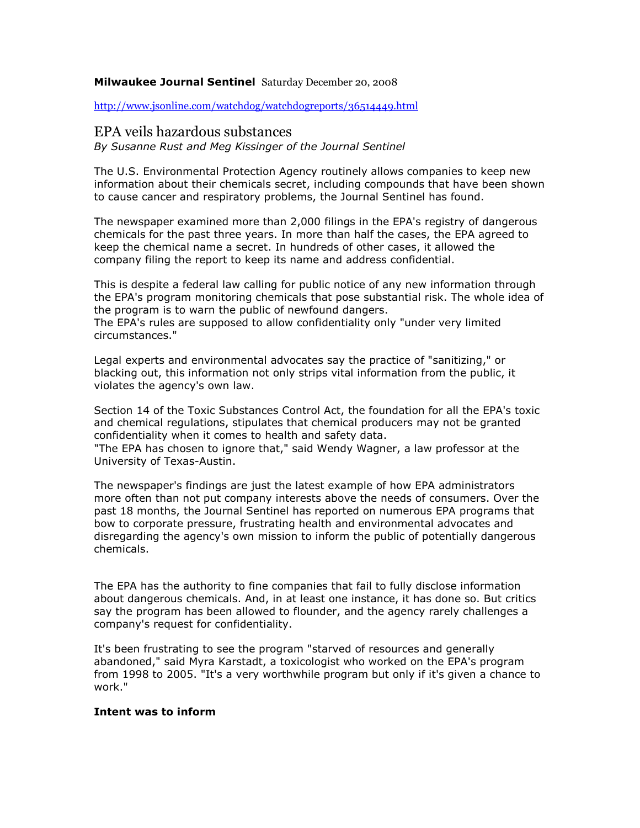### Milwaukee Journal Sentinel Saturday December 20, 2008

http://www.jsonline.com/watchdog/watchdogreports/36514449.html

# EPA veils hazardous substances

By Susanne Rust and Meg Kissinger of the Journal Sentinel

The U.S. Environmental Protection Agency routinely allows companies to keep new information about their chemicals secret, including compounds that have been shown to cause cancer and respiratory problems, the Journal Sentinel has found.

The newspaper examined more than 2,000 filings in the EPA's registry of dangerous chemicals for the past three years. In more than half the cases, the EPA agreed to keep the chemical name a secret. In hundreds of other cases, it allowed the company filing the report to keep its name and address confidential.

This is despite a federal law calling for public notice of any new information through the EPA's program monitoring chemicals that pose substantial risk. The whole idea of the program is to warn the public of newfound dangers.

The EPA's rules are supposed to allow confidentiality only "under very limited circumstances."

Legal experts and environmental advocates say the practice of "sanitizing," or blacking out, this information not only strips vital information from the public, it violates the agency's own law.

Section 14 of the Toxic Substances Control Act, the foundation for all the EPA's toxic and chemical regulations, stipulates that chemical producers may not be granted confidentiality when it comes to health and safety data.

"The EPA has chosen to ignore that," said Wendy Wagner, a law professor at the University of Texas-Austin.

The newspaper's findings are just the latest example of how EPA administrators more often than not put company interests above the needs of consumers. Over the past 18 months, the Journal Sentinel has reported on numerous EPA programs that bow to corporate pressure, frustrating health and environmental advocates and disregarding the agency's own mission to inform the public of potentially dangerous chemicals.

The EPA has the authority to fine companies that fail to fully disclose information about dangerous chemicals. And, in at least one instance, it has done so. But critics say the program has been allowed to flounder, and the agency rarely challenges a company's request for confidentiality.

It's been frustrating to see the program "starved of resources and generally abandoned," said Myra Karstadt, a toxicologist who worked on the EPA's program from 1998 to 2005. "It's a very worthwhile program but only if it's given a chance to work."

### Intent was to inform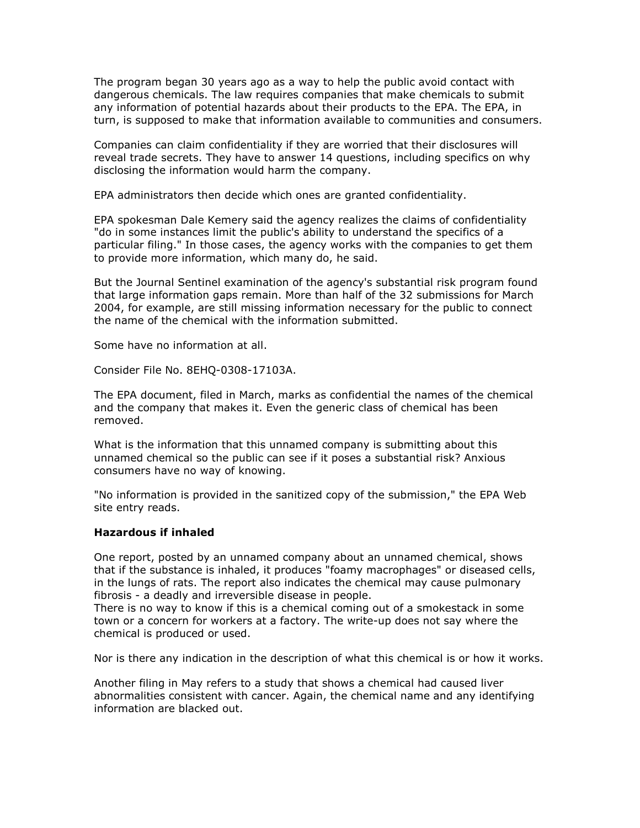The program began 30 years ago as a way to help the public avoid contact with dangerous chemicals. The law requires companies that make chemicals to submit any information of potential hazards about their products to the EPA. The EPA, in turn, is supposed to make that information available to communities and consumers.

Companies can claim confidentiality if they are worried that their disclosures will reveal trade secrets. They have to answer 14 questions, including specifics on why disclosing the information would harm the company.

EPA administrators then decide which ones are granted confidentiality.

EPA spokesman Dale Kemery said the agency realizes the claims of confidentiality "do in some instances limit the public's ability to understand the specifics of a particular filing." In those cases, the agency works with the companies to get them to provide more information, which many do, he said.

But the Journal Sentinel examination of the agency's substantial risk program found that large information gaps remain. More than half of the 32 submissions for March 2004, for example, are still missing information necessary for the public to connect the name of the chemical with the information submitted.

Some have no information at all.

Consider File No. 8EHQ-0308-17103A.

The EPA document, filed in March, marks as confidential the names of the chemical and the company that makes it. Even the generic class of chemical has been removed.

What is the information that this unnamed company is submitting about this unnamed chemical so the public can see if it poses a substantial risk? Anxious consumers have no way of knowing.

"No information is provided in the sanitized copy of the submission," the EPA Web site entry reads.

## Hazardous if inhaled

One report, posted by an unnamed company about an unnamed chemical, shows that if the substance is inhaled, it produces "foamy macrophages" or diseased cells, in the lungs of rats. The report also indicates the chemical may cause pulmonary fibrosis - a deadly and irreversible disease in people.

There is no way to know if this is a chemical coming out of a smokestack in some town or a concern for workers at a factory. The write-up does not say where the chemical is produced or used.

Nor is there any indication in the description of what this chemical is or how it works.

Another filing in May refers to a study that shows a chemical had caused liver abnormalities consistent with cancer. Again, the chemical name and any identifying information are blacked out.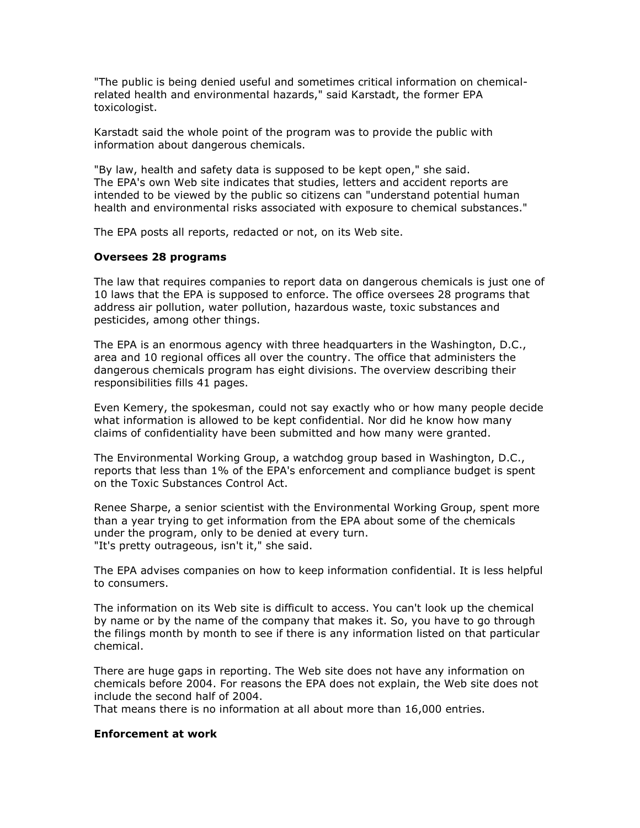"The public is being denied useful and sometimes critical information on chemicalrelated health and environmental hazards," said Karstadt, the former EPA toxicologist.

Karstadt said the whole point of the program was to provide the public with information about dangerous chemicals.

"By law, health and safety data is supposed to be kept open," she said. The EPA's own Web site indicates that studies, letters and accident reports are intended to be viewed by the public so citizens can "understand potential human health and environmental risks associated with exposure to chemical substances."

The EPA posts all reports, redacted or not, on its Web site.

### Oversees 28 programs

The law that requires companies to report data on dangerous chemicals is just one of 10 laws that the EPA is supposed to enforce. The office oversees 28 programs that address air pollution, water pollution, hazardous waste, toxic substances and pesticides, among other things.

The EPA is an enormous agency with three headquarters in the Washington, D.C., area and 10 regional offices all over the country. The office that administers the dangerous chemicals program has eight divisions. The overview describing their responsibilities fills 41 pages.

Even Kemery, the spokesman, could not say exactly who or how many people decide what information is allowed to be kept confidential. Nor did he know how many claims of confidentiality have been submitted and how many were granted.

The Environmental Working Group, a watchdog group based in Washington, D.C., reports that less than 1% of the EPA's enforcement and compliance budget is spent on the Toxic Substances Control Act.

Renee Sharpe, a senior scientist with the Environmental Working Group, spent more than a year trying to get information from the EPA about some of the chemicals under the program, only to be denied at every turn. "It's pretty outrageous, isn't it," she said.

The EPA advises companies on how to keep information confidential. It is less helpful to consumers.

The information on its Web site is difficult to access. You can't look up the chemical by name or by the name of the company that makes it. So, you have to go through the filings month by month to see if there is any information listed on that particular chemical.

There are huge gaps in reporting. The Web site does not have any information on chemicals before 2004. For reasons the EPA does not explain, the Web site does not include the second half of 2004.

That means there is no information at all about more than 16,000 entries.

#### Enforcement at work